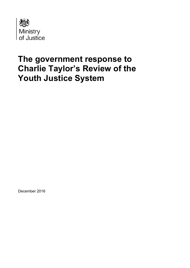

# **The government response to Charlie Taylor's Review of the Youth Justice System**

December 2016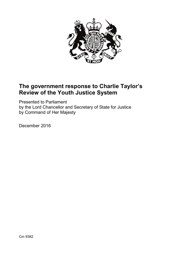

# **The government response to Charlie Taylor's Review of the Youth Justice System**

Presented to Parliament by the Lord Chancellor and Secretary of State for Justice by Command of Her Majesty

December 2016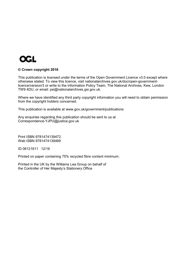

#### **© Crown copyright 2016**

This publication is licensed under the terms of the Open Government Licence v3.0 except where otherwise stated. To view this licence, visit nationalarchives.gov.uk/doc/open-governmentlicence/version/3 or write to the Information Policy Team, The National Archives, Kew, London TW9 4DU, or email: psi@nationalarchives.gsi.gov.uk.

Where we have identified any third party copyright information you will need to obtain permission from the copyright holders concerned.

This publication is available at www.gov.uk/government/publications

Any enquiries regarding this publication should be sent to us at Correspondence-YJPU@justice.gov.uk

Print ISBN 9781474139472 Web ISBN 9781474139489

ID 06121611 12/16

Printed on paper containing 75% recycled fibre content minimum.

Printed in the UK by the Williams Lea Group on behalf of the Controller of Her Majesty's Stationery Office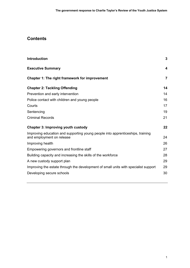# **Contents**

| <b>Introduction</b>                                                                                         |    |
|-------------------------------------------------------------------------------------------------------------|----|
| <b>Executive Summary</b>                                                                                    | 4  |
| <b>Chapter 1: The right framework for improvement</b>                                                       | 7  |
| <b>Chapter 2: Tackling Offending</b>                                                                        | 14 |
| Prevention and early intervention                                                                           | 14 |
| Police contact with children and young people                                                               | 16 |
| Courts                                                                                                      | 17 |
| Sentencing                                                                                                  | 19 |
| <b>Criminal Records</b>                                                                                     | 21 |
| <b>Chapter 3: Improving youth custody</b>                                                                   | 22 |
| Improving education and supporting young people into apprenticeships, training<br>and employment on release | 24 |
| Improving health                                                                                            | 26 |
| Empowering governors and frontline staff                                                                    | 27 |
| Building capacity and increasing the skills of the workforce                                                | 28 |
| A new custody support plan                                                                                  | 29 |
| Improving the estate through the development of small units with specialist support                         | 29 |
| Developing secure schools                                                                                   | 30 |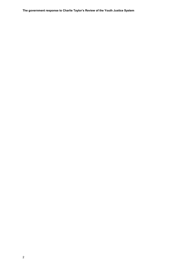**The government response to Charlie Taylor's Review of the Youth Justice System**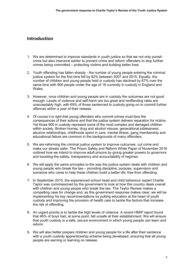## **Introduction**

- 1. We are determined to improve standards in youth justice so that we not only punish crime but also intervene earlier to prevent crime and reform offenders to stop further crimes being committed – protecting victims and building better lives.
- 2. Youth offending has fallen sharply the number of young people entering the criminal justice system for the first time fell by 82% between 2007 and 2015. Equally, the number of children and young people held in custody has declined by 67% over the same time with 900 people under the age of 18 currently in custody in England and Wales.
- 3. However, once children and young people are in custody the outcomes are not good enough. Levels of violence and self-harm are too great and reoffending rates are unacceptably high, with 69% of those sentenced to custody going on to commit further offences within a year of their release.
- 4. Of course it is right that young offenders who commit crimes must face the consequences of their actions and that the justice system delivers reparation for victims. Yet those 900 in custody represent some of the most complex and damaged children within society. Broken homes, drug and alcohol misuse, generational joblessness, abusive relationships, childhoods spent in care, mental illness, gang membership and educational failure are common in the backgrounds of many offenders.
- 5. We are reforming the criminal justice system to improve outcomes, cut crime and make our streets safer. The Prison Safety and Reform White Paper of November 2016 outlined how we intend to improve adult prisons by giving greater powers to governors and boosting the safety, transparency and accountability of regimes.
- 6. We will apply the same principles to the way the justice system deals with children and young people who break the law – providing discipline, purpose, supervision and someone who cares to help these children build a better life, free from offending.
- 7. In September 2015, the experienced school head and child behaviour expert Charlie Taylor was commissioned by the government to look at how this country deals overall with children and young people who break the law. The Taylor Review makes a compelling case for change and, as this government response makes clear, we will be implementing his key recommendations by putting education at the heart of youth custody and improving the provision of health care to tackle the factors that increase the risk of offending.
- 8. An urgent priority is to tackle the high levels of violence. A recent HMIP report found that 46% of boys had, at some point, felt unsafe at their establishment. We will ensure that youth custody is a safe, secure environment in which young people can learn and reform.
- 9. We will also better prepare children and young people for a life after their sentence with a youth custody apprenticeship scheme being developed, ensuring that all young people are earning or learning on release.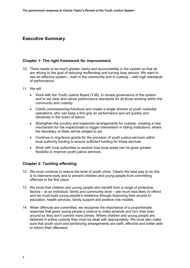## **Executive Summary**

#### **Chapter 1: The right framework for improvement**

- 10. There needs to be much greater clarity and accountability in the system so that all are driving to the goal of reducing reoffending and turning lives around. We want to see an effective system – both in the community and in custody – with high standards of performance.
- 11. We will:
	- Work with the Youth Justice Board (YJB), to review governance of the system and to set clear and robust performance standards for all those working within the community and custody.
	- Clarify commissioning functions and create a single director of youth custodial operations, who can keep a firm grip on performance and act quickly and decisively in the event of failure.
	- Strengthen the scrutiny and inspection arrangements for custody, creating a new mechanism for the inspectorate to trigger intervention in failing institutions, where the Secretary of State will be obliged to act.
	- Continue to ring-fence grants for the provision of youth justice services within local authority funding to ensure sufficient funding for these services
	- Work with local authorities to explore how local areas can be given greater flexibility to improve youth justice services.

#### **Chapter 2: Tackling offending**

- 12. We must continue to reduce the level of youth crime. Clearly the best way to do this is to intervene early and to prevent children and young people from committing offences in the first place.
- 13. We know that children and young people who benefit from a range of protective factors – at an individual, family and community level – are much less likely to offend and we must build young people's resilience through improving their access to education, health services, family support and positive role models.
- 14. When offences are committed, we recognise the importance of a proportionate response that gives young people a chance to make amends and turn their lives around so they don't commit more crimes. Where children and young people are detained in police custody they must be dealt with appropriately. We must also make sure that youth court and sentencing arrangements are swift, effective and better able to reform their offenders.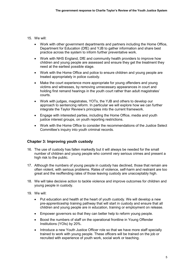#### 15. We will:

- Work with other government departments and partners including the Home Office, Department for Education (DfE) and YJB to gather information and share best practice across the system to inform further preventative work.
- Work with NHS England, DfE and community health providers to improve how children and young people are assessed and ensure they get the treatment they need at the earliest possible stage.
- Work with the Home Office and police to ensure children and young people are treated appropriately in police custody.
- Make the court experience more appropriate for young offenders and young victims and witnesses, by removing unnecessary appearances in court and holding first remand hearings in the youth court rather than adult magistrates' courts.
- Work with judges, magistrates, YOTs, the YJB and others to develop our approach to sentencing reform. In particular we will explore how we can further integrate the Taylor Review's principles into the current framework.
- Engage with interested parties, including the Home Office, media and youth justice interest groups, on youth reporting restrictions.
- Work with the Home Office to consider the recommendations of the Justice Select Committee's inquiry into youth criminal records.

#### **Chapter 3: Improving youth custody**

- 16. The use of custody has fallen markedly but it will always be needed for the small number of children and young people who commit very serious crimes and present a high risk to the public.
- 17. Although the numbers of young people in custody has declined, those that remain are often violent, with serious problems. Rates of violence, self-harm and restraint are too great and the reoffending rates of those leaving custody are unacceptably high.
- 18. We will take decisive action to tackle violence and improve outcomes for children and young people in custody.
- 19. We will:
	- Put education and health at the heart of youth custody. We will develop a new pre-apprenticeship training pathway that will start in custody and ensure that all children and young people are in education, training or employment on release.
	- Empower governors so that they can better help to reform young people.
	- Boost the numbers of staff on the operational frontline in Young Offender Institutions (YOIs) by 20%.
	- Introduce a new Youth Justice Officer role so that we have more staff specially trained to work with young people. These officers will be trained on the job or recruited with experience of youth work, social work or teaching.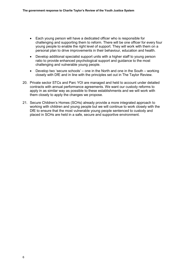- Each young person will have a dedicated officer who is responsible for challenging and supporting them to reform. There will be one officer for every four young people to enable the right level of support. They will work with them on a personal plan to drive improvements in their behaviour, education and health.
- Develop additional specialist support units with a higher staff to young person ratio to provide enhanced psychological support and guidance to the most challenging and vulnerable young people.
- Develop two 'secure schools' one in the North and one in the South working closely with DfE and in line with the principles set out in The Taylor Review.
- 20. Private sector STCs and Parc YOI are managed and held to account under detailed contracts with annual performance agreements. We want our custody reforms to apply in as similar way as possible to these establishments and we will work with them closely to apply the changes we propose.
- 21. Secure Children's Homes (SCHs) already provide a more integrated approach to working with children and young people but we will continue to work closely with the DfE to ensure that the most vulnerable young people sentenced to custody and placed in SCHs are held in a safe, secure and supportive environment.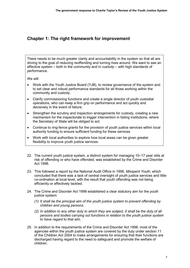# **Chapter 1: The right framework for improvement**

There needs to be much greater clarity and accountability in the system so that all are driving to the goal of reducing reoffending and turning lives around. We want to see an effective system – both in the community and in custody – with high standards of performance.

We will:

- Work with the Youth Justice Board (YJB), to review governance of the system and to set clear and robust performance standards for all those working within the community and custody.
- Clarify commissioning functions and create a single director of youth custodial operations, who can keep a firm grip on performance and act quickly and decisively in the event of failure.
- Strengthen the scrutiny and inspection arrangements for custody, creating a new mechanism for the inspectorate to trigger intervention in failing institutions, where the Secretary of State will be obliged to act.
- Continue to ring-fence grants for the provision of youth justice services within local authority funding to ensure sufficient funding for these services
- Work with local authorities to explore how local areas can be given greater flexibility to improve youth justice services.
- 22. The current youth justice system, a distinct system for managing 10–17 year olds at risk of offending or who have offended, was established by the Crime and Disorder Act 1998.
- 23. This followed a report by the National Audit Office in 1996, *Misspent Youth*, which concluded that there was a lack of central oversight of youth justice services and little co-ordination at local level, with the result that youth offending was not being efficiently or effectively tackled.
- 24. The Crime and Disorder Act 1998 established a clear statutory aim for the youth justice system:
	- *(1) It shall be the principal aim of the youth justice system to prevent offending by children and young persons.*
	- *(2) In addition to any other duty to which they are subject, it shall be the duty of all persons and bodies carrying out functions in relation to the youth justice system to have regard to that aim.*
- 25. In addition to the requirements of the Crime and Disorder Act 1998, most of the agencies within the youth justice system are covered by the duty under section 11 of the Children Act 2004 to make arrangements for ensuring that their functions are discharged having regard to the need to safeguard and promote the welfare of children.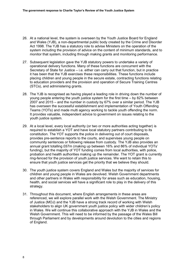- 26. At a national level, the system is overseen by the Youth Justice Board for England and Wales (YJB), a non-departmental public body created by the Crime and Disorder Act 1998. The YJB has a statutory role to advise Ministers on the operation of the system including the provision of advice on the content of minimum standards, and to monitor that system, including through making grants and monitoring performance.
- 27. Subsequent legislation gave the YJB statutory powers to undertake a variety of operational delivery functions. Many of these functions are concurrent with the Secretary of State for Justice  $-$  i.e. either can carry out that function, but in practice it has been that the YJB exercises these responsibilities. These functions include placing children and young people in the secure estate, contracting functions relating to education providers and the provision and operation of Secure Training Centres (STCs), and administering grants.
- 28. The YJB is recognised as having played a leading role in driving down the number of young people entering the youth justice system for the first time – by 82% between 2007 and 2015 – and the number in custody by 67% over a similar period. The YJB has overseen the successful establishment and implementation of Youth Offending Teams (YOTs) and made multi agency working to tackle youth offending the norm. It provides valuable, independent advice to government on issues relating to the youth justice system.
- 29. At a local level, every local authority (or two or more authorities acting together) is required to establish a YOT and have local statutory partners contributing to its constitution. The YOT supports the police in delivering out of court disposals, provides pre-sentence reports to the courts, and supervises young people on community sentences or following release from custody. The YJB also provides an annual grant totalling £67m (making up between 16% and 86% of individual YOTs' funding), but the majority of YOT funding comes from local authorities, with police, probation and health authorities making up the remainder. The YOT grant is currently ring-fenced for the provision of youth justice services. We want to retain this to ensure that youth justice services get the priority that we believe they should.
- 30. The youth justice system covers England and Wales but the majority of services for children and young people in Wales are devolved. Welsh Government departments and other partners in Wales with responsibility for areas such as education, housing, health, and social services will have a significant role to play in the delivery of this strategy.
- 31. Throughout this document, where English arrangements in these areas are referenced, we will explore parallel work with the Welsh Government. The Ministry of Justice (MOJ) and the YJB have a strong track record of working with Welsh stakeholders to align UK government youth justice policy with wider children's policy in Wales. We will continue this collaborative approach with the YJB in Wales and the Welsh Government. This will need to be informed by the passage of the Wales Bill through Parliament and by developments around devolution to the cities and regions of England.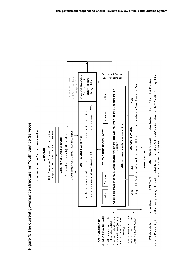

9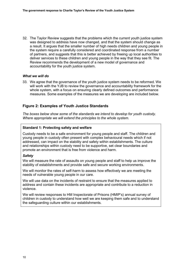32. The Taylor Review suggests that the problems which the current youth justice system was designed to address have now changed, and that the system should change as a result. It argues that the smaller number of high needs children and young people in the system require a carefully considered and coordinated response from a number of partners, and suggests that this is better achieved by freeing up local authorities to deliver services to these children and young people in the way that they see fit. The Review recommends the development of a new model of governance and accountability for the youth justice system.

#### *What we will do*

33. We agree that the governance of the youth justice system needs to be reformed. We will work with the YJB to review the governance and accountability framework for the whole system, with a focus on ensuring clearly defined outcomes and performance measures. Some examples of the measures we are developing are included below.

#### **Figure 2: Examples of Youth Justice Standards**

*The boxes below show some of the standards we intend to develop for youth custody. Where appropriate we will extend the principles to the whole system.*

#### **Standard 1: Protecting safety and welfare**

Custody needs to be a safe environment for young people and staff. The children and young people in custody often present with complex behavioural needs which if not addressed, can impact on the stability and safety within establishments. The culture and relationships within custody need to be supportive, set clear boundaries and promote an environment that is free from violence and harm.

#### *Safety*

We will measure the rate of assaults on young people and staff to help us improve the stability of establishments and provide safe and secure working environments.

We will monitor the rates of self-harm to assess how effectively we are meeting the needs of vulnerable young people in our care.

We will use data on the incidents of restraint to ensure that the measures applied to address and contain these incidents are appropriate and contribute to a reduction in violence.

We will review responses to HM Inspectorate of Prisons (HMIP's) annual survey of children in custody to understand how well we are keeping them safe and to understand the safeguarding culture within our establishments.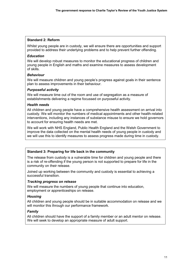#### **Standard 2: Reform**

Whilst young people are in custody, we will ensure there are opportunities and support provided to address their underlying problems and to help prevent further offending.

#### *Education*

We will develop robust measures to monitor the educational progress of children and young people in English and maths and examine measures to assess development of skills.

#### *Behaviour*

We will measure children and young people's progress against goals in their sentence plan to assess improvements in their behaviour.

#### *Purposeful activity*

We will measure time out of the room and use of segregation as a measure of establishments delivering a regime focussed on purposeful activity.

#### *Health needs*

All children and young people have a comprehensive health assessment on arrival into custody. We will monitor the numbers of medical appointments and other health-related interventions, including any instances of substance misuse to ensure we hold governors to account for ensuring health needs are met.

We will work with NHS England, Public Health England and the Welsh Government to improve the data collected on the mental health needs of young people in custody and we will use this to identify measures to assess progress made during time in custody.

#### **Standard 3: Preparing for life back in the community**

The release from custody is a vulnerable time for children and young people and there is a risk of re-offending if the young person is not supported to prepare for life in the community on their release.

Joined up working between the community and custody is essential to achieving a successful transition.

#### *Tracking progress on release*

We will measure the numbers of young people that continue into education, employment or apprenticeships on release.

#### *Housing*

All children and young people should be in suitable accommodation on release and we will monitor this through our performance framework.

#### *Family*

All children should have the support of a family member or an adult mentor on release. We will seek to develop an appropriate measure of adult support.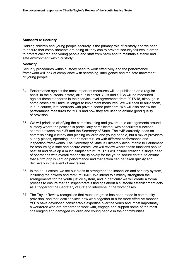#### **Standard 4: Security**

Holding children and young people securely is the primary role of custody and we need to ensure that establishments are doing all they can to prevent security failures in order to protect children and young people and staff from harm and to maintain a stable and safe environment within custody.

#### *Security*

Security procedures within custody need to work effectively and the performance framework will look at compliance with searching, intelligence and the safe movement of young people.

- 34. Performance against the most important measures will be published on a regular basis. In the custodial estate, all public sector YOIs and STCs will be measured against these standards in their service level agreements from 2017/18, although in some cases it will take us longer to implement measures. We will seek to build them, in due course, into contracts with private sector providers. We will also review the performance measures for YOTs and how they are used to ensure good quality of provision.
- 35. We will prioritise clarifying the commissioning and governance arrangements around custody where the position is particularly complicated, with concurrent functions shared between the YJB and the Secretary of State. The YJB currently leads on commissioning custody and placing children and young people, but a mix of providers supply places, operating under different rules with different performance and inspection frameworks. The Secretary of State is ultimately accountable to Parliament for resourcing a safe and secure estate. We will review where these functions should best sit and develop a much simpler structure. This will include creating a single head of operations with overall responsibility solely for the youth secure estate, to ensure that a firm grip is kept on performance and that action can be taken quickly and decisively in the event of any failure.
- 36. In the adult estate, we set out plans to strengthen the inspection and scrutiny system, including the powers and remit of HMIP. We intend to similarly strengthen the arrangements for the youth justice system, and in particular we will create a formal process to ensure that an inspectorate's findings about a custodial establishment acts as a trigger for the Secretary of State to intervene in the worst cases.
- 37. The Taylor Review recognises that much progress has been made in community provision, and that local services now work together in a far more effective manner. YOTs have developed considerable expertise over the years and, most importantly, a workforce who are prepared to work with, engage and support some of the most challenging and damaged children and young people in their communities.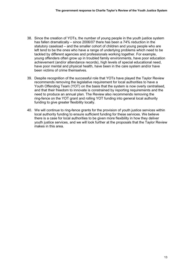- 38. Since the creation of YOTs, the number of young people in the youth justice system has fallen dramatically – since 2006/07 there has been a 74% reduction in the statutory caseload – and the smaller cohort of children and young people who are left tend to be the ones who have a range of underlying problems which need to be tackled by different agencies and professionals working together. For example, young offenders often grow up in troubled family environments, have poor education achievement (and/or attendance records), high levels of special educational need, have poor mental and physical health, have been in the care system and/or have been victims of crime themselves.
- 39. Despite recognition of the successful role that YOTs have played the Taylor Review recommends removing the legislative requirement for local authorities to have a Youth Offending Team (YOT) on the basis that the system is now overly centralised, and that their freedom to innovate is constrained by reporting requirements and the need to produce an annual plan. The Review also recommends removing the ring-fence on the YOT grant and rolling YOT funding into general local authority funding to give greater flexibility locally.
- 40. We will continue to ring-fence grants for the provision of youth justice services within local authority funding to ensure sufficient funding for these services. We believe there is a case for local authorities to be given more flexibility in how they deliver youth justice services, and we will look further at the proposals that the Taylor Review makes in this area.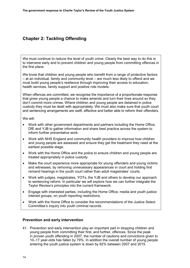# **Chapter 2: Tackling Offending**

We must continue to reduce the level of youth crime. Clearly the best way to do this is to intervene early and to prevent children and young people from committing offences in the first place.

We know that children and young people who benefit from a range of protective factors – at an individual, family and community level – are much less likely to offend and we must build young people's resilience through improving their access to education, health services, family support and positive role models.

When offences are committed, we recognise the importance of a proportionate response that gives young people a chance to make amends and turn their lives around so they don't commit more crimes. Where children and young people are detained in police custody they must be dealt with appropriately. We must also make sure that youth court and sentencing arrangements are swift, effective and better able to reform their offenders.

We will:

- Work with other government departments and partners including the Home Office, DfE and YJB to gather information and share best practice across the system to inform further preventative work.
- Work with NHS England and community health providers to improve how children and young people are assessed and ensure they get the treatment they need at the earliest possible stage.
- Work with the Home Office and the police to ensure children and young people are treated appropriately in police custody.
- Make the court experience more appropriate for young offenders and young victims and witnesses, by removing unnecessary appearances in court and holding first remand hearings in the youth court rather than adult magistrates' courts.
- Work with judges, magistrates, YOTs, the YJB and others to develop our approach to sentencing reform. In particular we will explore how we can further integrate the Taylor Review's principles into the current framework.
- Engage with interested parties, including the Home Office, media and youth justice interest groups, on youth reporting restrictions.
- Work with the Home Office to consider the recommendations of the Justice Select Committee's inquiry into youth criminal records.

#### **Prevention and early intervention**

41. Prevention and early intervention play an important part in stopping children and young people from committing their first, and further, offences. Since the peak in proven youth offending in 2007, the number of cautions and convictions given to 10–17 year-olds has fallen by 79%. In addition the overall number of young people entering the youth justice system is down by 82% between 2007 and 2015.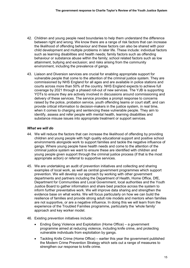- 42. Children and young people need boundaries to help them understand the difference between right and wrong. We know there are a range of risk factors that can increase the likelihood of offending behaviour and these factors can also be shared with poor child development and multiple problems in later life. These include: individual factors such as learning disabilities and health needs; family factors such as offending behaviour or substance abuse within the family; school related factors such as low attainment, bullying and exclusion; and risks arising from the community environment, including the prevalence of gangs.
- 43. Liaison and Diversion services are crucial for enabling appropriate support for vulnerable people that come to the attention of the criminal justice system. They are commissioned by NHS England for all ages and are available in police stations and courts across more than 50% of the country. NHS England expects to achieve full coverage by 2021 through a phased roll-out of new services. The YJB is supporting YOTs to ensure they are actively involved in discussions around commissioning and delivery of these services. The service provides a prompt response to concerns raised by the police, probation service, youth offending teams or court staff, and can provide critical information to decision-makers in the justice system, in real time, when it comes to charging and sentencing these vulnerable people. They aim to identify, assess and refer people with mental health, learning disabilities and substance misuse issues into appropriate treatment or support services.

- 44. We will reduce the factors that can increase the likelihood of offending by providing children and young people with high quality educational support and positive school environments alongside work to support families and tackle the negative influence of gangs. Where young people have health needs and come to the attention of the criminal justice system we want to ensure these are identified with children and young people given support through the criminal justice process (if that is the most appropriate action) or referral to supportive services.
- 45. We are undertaking an audit of prevention initiatives and collecting and sharing examples of local work, as well as central government programmes which support prevention. We will develop our approach by working with other government departments and partners including the Department of Health, Home Office, DfE, Department for Communities and Local Government, local authorities and the Youth Justice Board to gather information and share best practice across the system to inform further preventative work. We will improve data sharing and strengthen the evidence base on what works. We will focus particularly on how we can build the resilience of families and provide strong adult role models and mentors when families are not supportive, or are a negative influence. In doing this we will learn from the experience of the Troubled Families programme, particularly the 'whole family' approach and key worker model.
- 46. Existing prevention initiatives include:
	- Ending Gang Violence and Exploitation (Home Office) a government programme aimed at reducing violence, including knife crime, and protecting vulnerable individuals from exploitation by gangs.
	- Tackling Knife Crime (Home Office) earlier this year the government published the Modern Crime Prevention Strategy which sets out a range of measures to strengthen our response to knife crime.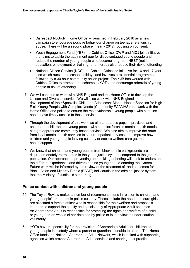- Disrespect NoBody (Home Office) launched in February 2016 as a new campaign to encourage positive behaviour change on teenage relationship abuse. There will be a second phase in early 2017, focusing on consent.
- Youth Engagement Fund (YEF) a Cabinet Office, DWP and MOJ joint initiative that aims to tackle the attainment gap for disadvantaged young people and reduce the number of young people who become long term NEET (not in education, employment or training) and thereby also reduce their risk of offending.
- National Citizen Service (NCS) a Cabinet Office led initiative for 16 and 17 year olds which runs in the school holidays and involves a residential programme followed by a 30 hour community action project. The YJB has worked with Cabinet Office to promote the scheme to YOTs and encourage referrals of young people at risk of offending.
- 47. We will continue to work with NHS England and the Home Office to develop the Liaison and Diversion service. We will also work with NHS England in the development of their Specialist Child and Adolescent Mental Health Services for High Risk Young People with Complex Needs (Community FCAMHS) and work with the Home Office and police to ensure the most vulnerable young people with complex needs have timely access to these services.
- 48. Through the development of this work we aim to address gaps in provision and ensure that children and young people with complex forensic mental health needs can get appropriate community based services. We also aim to improve the route from local mental health services to secure-inpatient services; and improve how children and young people leaving custody or secure welfare care get mental health support.
- 49. We know that children and young people from black ethnic backgrounds are disproportionately represented in the youth justice system compared to the general population. Our approach to preventing and tackling offending will seek to understand the different experiences and drivers behind young people entering the system. Future work will be informed by the review of the treatment of, and outcomes for, Black, Asian and Minority Ethnic (BAME) individuals in the criminal justice system that the Ministry of Justice is supporting.

#### **Police contact with children and young people**

- 50. The Taylor Review makes a number of recommendations in relation to children and young people's treatment in police custody. These include the need to ensure girls are allocated a female officer who is responsible for their welfare and proposals intended to support the quality and consistency of Appropriate Adult schemes. An Appropriate Adult is responsible for protecting the rights and welfare of a child or young person who is either detained by police or is interviewed under caution voluntarily.
- 51. YOTs have responsibility for the provision of Appropriate Adults for children and young people in custody where a parent or guardian is unable to attend. The Home Office funds the National Appropriate Adult Network, which is tasked with supporting agencies which provide Appropriate Adult services and sharing best practice.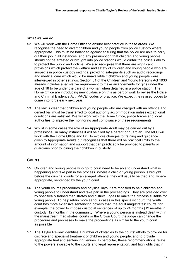#### *What we will do*

- 52. We will work with the Home Office to ensure best practice in these areas. We recognise the need to divert children and young people from police custody where appropriate. This must be balanced against ensuring that the police are able to carry out their job in all instances, and any presumption that children and young people should not be arrested or brought into police stations would curtail the police's ability to protect the public and victims. We also recognise that there are significant provisions which protect the welfare and safety of children and young people who are suspects in police custody settings, providing safeguards such as audio recordings and medical care which would be unavailable if children and young people were interviewed in other settings. Section 31 of the Children and Young Persons Act 1933 already includes a legislative requirement to make arrangements for girls under the age of 18 to be under the care of a woman when detained in a police station. The Home Office are introducing new guidance on this as part of work to revise the Police and Criminal Evidence Act (PACE) codes of practice. We expect the revised codes to come into force early next year.
- 53. The law is clear that children and young people who are charged with an offence and denied bail must be transferred to local authority accommodation unless exceptional conditions are satisfied. We will work with the Home Office, police forces and local authorities to improve the monitoring and compliance of these requirements.
- 54. Whilst in some cases the role of an Appropriate Adult may be carried out by a professional, in many instances it will be filled by a parent or guardian. The MOJ will work with the Home Office and DfE to explore changes to training and guidance given to Appropriate Adults but recognises that there will be practical limits to the amount of information and support that can practicably be provided to parents or guardians prior to joining their children in custody.

#### **Courts**

- 55. Children and young people who go to court need to be able to understand what is happening and take part in the process. Where a child or young person is brought before the criminal courts for an alleged offence, they will usually be tried and, where appropriate, sentenced by the youth court.
- 56. The youth court's procedures and physical layout are modified to help children and young people to understand and take part in the proceedings. They are presided over by specifically trained magistrates and district judges to make the process suitable for young people. To help retain more serious cases in this specialist court, the youth court has more extensive sentencing powers than the adult magistrates' courts, for example, the power to impose custodial sentences of up to 24 months (12 months in custody, 12 months in the community). Where a young person is instead dealt with in the mainstream magistrates' courts or the Crown Court, the judge can change the procedure and processes to make the proceedings as similar to the youth court as possible
- 57. The Taylor Review identifies a number of obstacles to the courts' efforts to provide for discrete and specialist treatment of children and young people, and to provide appropriate trial and sentencing venues. In particular, these recommendations relate to the powers available to the courts and legal representation, and highlights that in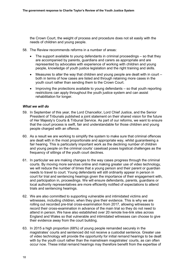the Crown Court, the weight of process and procedure does not sit easily with the needs of children and young people.

- 58. The Review recommends reforms in a number of areas:
	- The support available to young defendants in criminal proceedings so that they are accompanied by parents, guardians and carers as appropriate and are represented by advocates with experience of working with children and young people, knowledge of youth justice legislation and the right training and skills.
	- Measures to alter the way that children and young people are dealt with in court both in terms of how cases are listed and through retaining more cases in the youth court rather than sending them to the Crown Court.
	- Improving the protections available to young defendants so that youth reporting restrictions can apply throughout the youth justice system and can assist rehabilitation for longer.

- 59. In September of this year, the Lord Chancellor, Lord Chief Justice, and the Senior President of Tribunals published a joint statement on their shared vision for the future of Her Majesty's Courts & Tribunal Service. As part of our reforms, we want to ensure that the court process is swift, fair and understandable for those children and young people charged with an offence.
- 60. As a result we are working to simplify the system to make sure that criminal offences are dealt with in the most proportionate and appropriate way, whilst guaranteeing a fair hearing. This is particularly important work as the declining number of children and young people on the criminal courts' caseload poses logistical challenges as the frequency of sittings of the youth court declines.
- 61. In particular we are making changes to the way cases progress through the criminal courts. By moving more services online and making greater use of video technology, we will reduce the number of times that a young person and their parent or guardian needs to travel to court. Young defendants will still ordinarily appear in person in court for trial and sentencing hearings given the importance of their engagement with, and participation in, proceedings. We will ensure defendants, parents, guardians or local authority representatives are more efficiently notified of expectations to attend trials and sentencing hearings.
- 62. We are also committed to supporting vulnerable and intimidated victims and witnesses, including children, when they give their evidence. This is why we are rolling out recorded pre-trial cross-examination from 2017, allowing witnesses to record their cross-examination in advance of the main trial so they do not need to attend in person. We have also established over 20 remote live-link sites across England and Wales so that vulnerable and intimidated witnesses can choose to give their evidence away from the court building.
- 63. In 2015 a high proportion (68%) of young people remanded securely in the magistrates' courts and sentenced did not receive a custodial sentence. Greater use of video technology will provide the opportunity for initial remand hearings to be dealt with by the youth court rather than the mainstream magistrates' courts, as can often occur now. These initial remand hearings may therefore benefit from the expertise of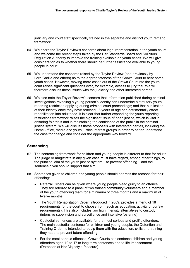judiciary and court staff specifically trained in the separate and distinct youth remand framework.

- 64. We share the Taylor Review's concerns about legal representation in the youth court and welcome the recent steps taken by the Bar Standards Board and Solicitors' Regulation Authority to improve the training available on youth cases. We will give consideration as to whether there should be further assistance available to young people in court.
- 65. We understand the concerns raised by the Taylor Review (and previously by Lord Carlile and others) as to the appropriateness of the Crown Court to hear some youth cases. However, moving more cases out of the Crown Court into the youth court raises significant questions over, for example, access to jury trial. We will therefore discuss these issues with the judiciary and other interested parties.
- 66. We also note the Taylor Review's concern that information published during criminal investigations revealing a young person's identity can undermine a statutory youth reporting restriction applying during criminal court proceedings; and that publication of their identity once they have reached 18 years of age can detrimentally affect rehabilitation into adulthood. It is clear that further expanding the youth reporting restrictions framework raises the significant issue of open justice, which is vital in ensuring fair trials and in maintaining the confidence of the public in the criminal justice system. We will discuss these proposals with interested parties, including the Home Office, media and youth justice interest groups in order to better understand the case for change and consider the appropriate way forward.

#### **Sentencing**

- 67. The sentencing framework for children and young people is different to that for adults. The judge or magistrate in any given case must have regard, among other things, to the principal aim of the youth justice system – to prevent offending – and the sentence given should support that aim.
- 68. Sentences given to children and young people should address the reasons for their offending:
	- Referral Orders can be given where young people plead guilty to an offence. They are referred to a panel of two trained community volunteers and a member of the youth offending team for a minimum of three months and a maximum of twelve months.
	- The Youth Rehabilitation Order, introduced in 2009, provides a menu of 18 requirements for the court to choose from (such as education, activity or curfew requirements). This also includes two high intensity alternatives to custody (intensive supervision and surveillance and intensive fostering).
	- Custodial sentences are available for the most serious and prolific offenders. The main custodial sentence for children and young people, the Detention and Training Order, is intended to equip them with the education, skills and training they need to prevent future offending.
	- For the most serious offences, Crown Courts can sentence children and young offenders aged 10 to 17 to long term sentences and to life imprisonment (Detention at Her Majesty's Pleasure).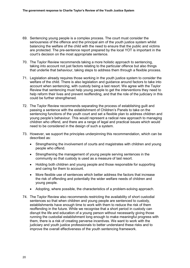- 69. Sentencing young people is a complex process. The court must consider the seriousness of the offence and the principal aim of the youth justice system whilst balancing the welfare of the child with the need to ensure that the public and victims are protected. The pre-sentence report prepared by the local YOT is important in the court's decision on the most appropriate sentence.
- 70. The Taylor Review recommends taking a more holistic approach to sentencing, taking into account not just factors relating to the particular offence but also things that underlie that behaviour, taking steps to address them through a flexible process.
- 71. Legislation already requires those working in the youth justice system to consider the welfare of the child. There is also legislation and guidance around factors to take into account when sentencing, with custody being a last resort. We agree with the Taylor Review that sentencing must help young people to get the interventions they need to help reform their lives and prevent reoffending, and that the role of the judiciary in this could be further strengthened.
- 72. The Taylor Review recommends separating the process of establishing guilt and passing a sentence with the establishment of Children's Panels to take on the sentencing functions of the youth court and set a flexible plan to address children and young people's behaviour. This would represent a radical new approach to managing children who offend, and there are a range of legal and practical issues which would need to be considered in the design of such a system.
- 73. However, we support the principles underpinning this recommendation, which can be described as:
	- Strengthening the involvement of courts and magistrates with children and young people who offend.
	- Strengthening the management of young people serving sentences in the community so that custody is used as a measure of last resort.
	- Holding both children and young people and those responsible for supporting and caring for them to account.
	- More flexible use of sentences which better address the factors that increase the risk of offending and potentially the wider welfare needs of children and young people.
	- Adopting, where possible, the characteristics of a problem-solving approach.
- 74. The Taylor Review also recommends restricting the availability of short custodial sentences so that when children and young people are sentenced to custody, establishments have enough time to work with them to reduce the risk of them reoffending in the future. While we recognise that a short period in custody can disrupt the life and education of a young person without necessarily giving those running the custodial establishment long enough to make meaningful progress with them, there is a risk of creating perverse incentives. We want to work with the judiciary and youth justice professionals to better understand these risks and to improve the overall effectiveness of the youth sentencing framework.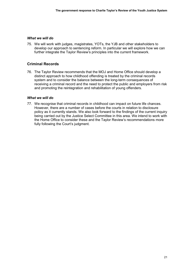#### *What we will do*

75. We will work with judges, magistrates, YOTs, the YJB and other stakeholders to develop our approach to sentencing reform. In particular we will explore how we can further integrate the Taylor Review's principles into the current framework.

#### **Criminal Records**

76. The Taylor Review recommends that the MOJ and Home Office should develop a distinct approach to how childhood offending is treated by the criminal records system and to consider the balance between the long-term consequences of receiving a criminal record and the need to protect the public and employers from risk and promoting the reintegration and rehabilitation of young offenders.

#### *What we will do*

77. We recognise that criminal records in childhood can impact on future life chances. However, there are a number of cases before the courts in relation to disclosure policy as it currently stands. We also look forward to the findings of the current inquiry being carried out by the Justice Select Committee in this area. We intend to work with the Home Office to consider these and the Taylor Review's recommendations more fully following the Court's judgment.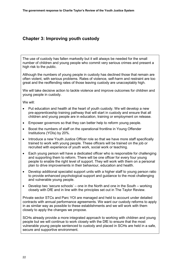# **Chapter 3: Improving youth custody**

The use of custody has fallen markedly but it will always be needed for the small number of children and young people who commit very serious crimes and present a high risk to the public.

Although the numbers of young people in custody has declined those that remain are often violent, with serious problems. Rates of violence, self-harm and restraint are too great and the reoffending rates of those leaving custody are unacceptably high.

We will take decisive action to tackle violence and improve outcomes for children and young people in custody.

We will:

- Put education and health at the heart of youth custody. We will develop a new pre-apprenticeship training pathway that will start in custody and ensure that all children and young people are in education, training or employment on release.
- Empower governors so that they can better help to reform young people.
- Boost the numbers of staff on the operational frontline in Young Offender Institutions (YOIs) by 20%.
- Introduce a new Youth Justice Officer role so that we have more staff specifically trained to work with young people. These officers will be trained on the job or recruited with experience of youth work, social work or teaching.
- Each young person will have a dedicated officer who is responsible for challenging and supporting them to reform. There will be one officer for every four young people to enable the right level of support. They will work with them on a personal plan to drive improvements in their behaviour, education and health.
- Develop additional specialist support units with a higher staff to young person ratio to provide enhanced psychological support and guidance to the most challenging and vulnerable young people.
- Develop two 'secure schools' one in the North and one in the South working closely with DfE and in line with the principles set out in The Taylor Review.

Private sector STCs and Parc YOI are managed and held to account under detailed contracts with annual performance agreements. We want our custody reforms to apply in as similar way as possible to these establishments and we will work with them closely to apply the changes we propose.

SCHs already provide a more integrated approach to working with children and young people but we will continue to work closely with the DfE to ensure that the most vulnerable young people sentenced to custody and placed in SCHs are held in a safe, secure and supportive environment.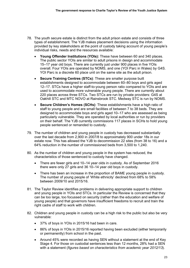- 78. The youth secure estate is distinct from the adult prison estate and consists of three types of establishment. The YJB makes placement decisions using the information provided by key stakeholders at the point of custody taking account of young people's individual risks, needs and the resources available:
	- **Young Offender Institutions (YOIs):** These have between 60 and 340 places. The public sector YOIs are similar to adult prisons in design and accommodate 15–17 year old boys. There are currently just under 900 places in five YOIs overall. Four YOIs are operated by NOMS, and one (YOI Parc in Wales) by G4S. YOI Parc is a discrete 60 place unit on the same site as the adult prison.
	- **Secure Training Centres (STCs)**: These are smaller purpose built establishments designed to accommodate between 60–80 boys and girls aged 12–17. STCs have a higher staff-to-young person ratio compared to YOIs and are used to accommodate more vulnerable young people. There are currently about 220 places across three STCs. Two STCs are run by private providers: G4S at Oakhill STC and MTC NOVO at Rainsbrook STC. Medway STC is run by NOMS.
	- **Secure Children's Homes (SCHs)**: These establishments have a high ratio of staff to young people and are small facilities of between 7 to 38 beds. They are designed to accommodate boys and girls aged 10–17 who are assessed as being particularly vulnerable. They are operated by local authorities or run by providers on their behalf. The YJB currently commissions 117 places in SCHs to hold young people sentenced or remanded to custody.
- 79. The number of children and young people in custody has decreased substantially over the last decade from 2,900 in 2007/8 to approximately 900 under 18s in our estate now. This has allowed the YJB to decommission 22 sites (from 38 to 16) and a 64% reduction in the number of commissioned beds from 3,500 to 1,240.
- 80. As the number of children and young people in the system has reduced, the characteristics of those sentenced to custody have changed.
	- There are fewer girls and 10–14 year olds in custody. As of September 2016 there were only 27 girls and 36 10–14 year old boys in custody.
	- There has been an increase in the proportion of BAME young people in custody. The number of young people of 'White ethnicity' declined from 68% to 58% between 2009/10 and 2015/16.
- 81. The Taylor Review identifies problems in delivering appropriate support to children and young people in YOIs and STCs. In particular the Review is concerned that they can be too large, too focussed on security (rather than the education and welfare of young people) and that governors have insufficient freedoms to recruit and train the right cadre of staff to work with children.
- 82. Children and young people in custody can be a high risk to the public but also be very vulnerable:
	- 37% of boys in YOIs in 2015/16 had been in care.
	- 86% of boys in YOIs in 2015/16 reported having been excluded (either temporarily or permanently) from school in the past.
	- Around 45% were recorded as having SEN without a statement at the end of Key Stage 4. For those on custodial sentences less than 12 months, 28% had a SEN with a statement (*figures based on characteristics from academic year 2012/13*).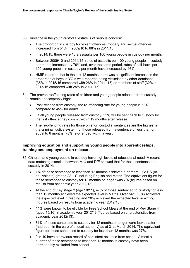- 83. Violence in the youth custodial estate is of serious concern:
	- The proportion in custody for violent offences, robbery and sexual offences increased from 54% in 2009/10 to 68% in 2014/15.
	- In 2014/15, there were 16.2 assaults per 100 young people in custody per month.
	- Between 2009/10 and 2014/15, rates of assaults per 100 young people in custody per month increased by 79% and, over the same period, rates of self-harm per 100 young people in custody per month have increased by 46%.
	- HMIP reported that in the last 12 months there was a significant increase in the proportion of boys in YOIs who reported being victimised by other detainees (35% in 2015/16 compared with 26% in 2014–15) or members of staff (32% in 2015/16 compared with 25% in 2014–15).
- 84. The proven reoffending rates of children and young people released from custody remain unacceptably high:
	- Post-release from custody, the re-offending rate for young people is 69% compared to 45% for adults.
	- Of all young people released from custody, 35% will be sent back to custody for the first offence they commit within 12 months after release.
	- The re-offending rates for those on short custodial sentences are the highest in the criminal justice system: of those released from a sentence of less than or equal to 6 months, 78% re-offended within a year.

#### **Improving education and supporting young people into apprenticeships, training and employment on release**

- 85. Children and young people in custody have high levels of educational need. A recent data matching exercise between MoJ and DfE showed that for those sentenced to custody in 2014:
	- 1% of those sentenced to less than 12 months achieved 5 or more GCSES (or equivalents) graded  $A^* - C$  including English and Maths. The equivalent figure for those sentenced to custody for 12 months or longer was 7% (figures based on results from academic year 2012/13).
	- At the end of Key stage 2 (age 10/11), 47% of those sentenced to custody for less than 12 months achieved the expected level in Maths. Over half (56%) achieved the expected level in reading and 28% achieved the expected level in writing (figures based on results from academic year 2012/13).
	- 44% were known to be eligible for Free School Meals at the end of Key Stage 4 (aged 15/16) in academic year 2012/13 (figures based on characteristics from academic year 2012/13).
	- 31% of those sentenced to custody for 12 months or longer were looked after (had been in the care of a local authority) as at 31st March 2014. The equivalent figure for those sentenced to custody for less than 12 months was 27%.
	- 9 in 10 have a previous record of persistent absence from school. Almost a quarter of those sentenced to less than 12 months in custody have been permanently excluded from school.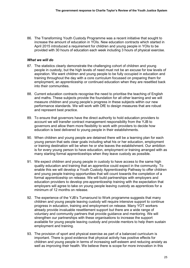86. The Transforming Youth Custody Programme was a recent initiative that sought to increase the amount of education in YOIs. New education contracts which started in April 2015 introduced a requirement for children and young people in YOIs to be provided with 30 hours of education each week including 3 hours of physical exercise.

- 87. The statistics clearly demonstrate the challenging cohort of children and young people in custody, but the high levels of need must not be an excuse for low levels of aspiration. We want children and young people to be fully occupied in education and training throughout the day with a core curriculum focussed on preparing them for employment, an apprenticeship or continued education when they are resettled back into their communities.
- 88. Current education contracts recognise the need to prioritise the teaching of English and maths. These subjects provide the foundation for all other learning and we will measure children and young people's progress in these subjects within our new performance standards. We will work with DfE to design measures that are robust and represent best practice.
- 89. To ensure that governors have the direct authority to hold education providers to account we will transfer contract management responsibility from the YJB to governors and allow them more flexibility to work with providers to decide how education is best delivered to young people in their establishments.
- 90. When children and young people are detained there will be a learning plan for each young person that sets clear goals including what his or her education, employment or training destination will be when he or she leaves the establishment. Our ambition is for every young person to have education, employment or training arranged with as many starting formal apprenticeships when they leave custody as possible.
- 91. We expect children and young people in custody to have access to the same high quality education and training that an apprentice could expect in the community. To enable this we will develop a Youth Custody Apprenticeship Pathway to offer children and young people training opportunities that will count towards the completion of a formal apprenticeship on release. We will build partnerships with employers and education providers to develop pre-apprenticeship training with the expectation that employers will agree to take on young people leaving custody as apprentices for a minimum of 12 months on release.
- 92. The experience of the YJB's Turnaround to Work programme suggests that many children and young people leaving custody will require intensive support to continue progress in education, training and employment on release. Many YOT workers already provide invaluable resettlement support but there are a wide range of voluntary and community partners that provide guidance and mentoring. We will strengthen our partnerships with these organisations to increase the support available for young people leaving custody and provide mentors to help them sustain employment and training.
- 93. The provision of sport and physical exercise as part of a balanced curriculum is important. There is good evidence that physical activity has positive effects for children and young people in terms of increasing self-esteem and reducing anxiety as well as improving their health. We believe there is scope for more innovation in this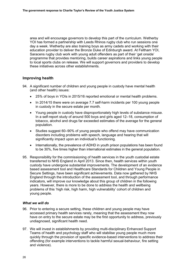area and will encourage governors to develop this part of the curriculum. Wetherby YOI has formed a partnership with Leeds Rhinos rugby club who run sessions one day a week. Wetherby are also training boys as army cadets and working with their education provider to deliver the Bronze Duke of Edinburgh award. At Feltham YOI, Saracens rugby club work with young adult offenders as part of their 'get onside' programme that provides mentoring, builds career aspirations and links young people to local sports clubs on release. We will support governors and providers to develop these initiatives across other establishments.

#### **Improving health**

- 94. A significant number of children and young people in custody have mental health (and other health) issues:
	- 25% of boys in YOIs in 2015/16 reported emotional or mental health problems.
	- In 2014/15 there were on average 7.7 self-harm incidents per 100 young people in custody in the secure estate per month.
	- Young people in custody have disproportionately high levels of substance misuse. In a self-report study of around 500 boys and girls aged 12–18, consumption of tobacco, alcohol and drugs far exceeded estimates of the average for the general population.
	- Studies suggest 60–90% of young people who offend may have communication disorders including problems with speech, language and hearing that will significantly impact upon an individual's functioning.
	- Internationally, the prevalence of ADHD in youth prison populations has been found to be 30%, five times higher than international estimates in the general population.
- 95. Responsibility for the commissioning of health services in the youth custodial estate transferred to NHS England in April 2013. Since then, health services within youth custody have undergone substantial improvements. The development of an evidence based assessment tool and Healthcare Standards for Children and Young People in Secure Settings, have been significant achievements. Data now gathered by NHS England through the introduction of the assessment tool, and through performance indicators, will improve our knowledge about this group of children in the following years. However, there is more to be done to address the health and wellbeing problems of this 'high risk, high harm, high vulnerability' cohort of children and young people.

- 96. Prior to entering a secure setting, these children and young people may have accessed primary health services rarely, meaning that the assessment they now have on entry to the secure estate may be the first opportunity to address, previously undiagnosed, significant health need.
- 97. We will invest in establishments by providing multi-disciplinary Enhanced Support Teams of health and psychology staff who will stabilise young people much more quickly through the provision of specific evidence-based interventions to address their offending (for example interventions to tackle harmful sexual-behaviour, fire setting and violence).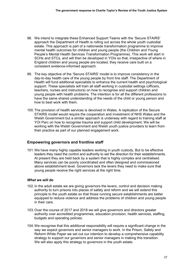- 98. We intend to integrate these Enhanced Support Teams with the 'Secure STAIRS' approach the Department of Health is rolling out across the whole youth custodial estate. This approach is part of a nationwide transformation programme to improve mental health outcomes for children and young people (the Children and Young People's Mental Health Services Transformation Programme). This work will start in SCHs and STCs, and will then be developed in YOIs so that, irrespective of where in England children and young people are located, they receive care built on a consistent evidence-informed approach.
- 99. The key objective of the 'Secure STAIRS' model is to improve consistency in the day-to-day health care of the young people by front line staff. The Department of Health will fund additional specialists to enhance the current health and psychological support. These specialists will train all staff working in custodial settings (officers, teachers, nurses and instructors) on how to recognise and support children and young people with health problems. The intention is for all the different professions to have the same shared understanding of the needs of the child or young person and how to best work with them.
- 100.The provision of health services is devolved in Wales. A replication of the Secure STAIRS model would require the cooperation and investment of NHS Wales and the Welsh Government but a similar approach is underway with regard to training staff at YOI Parc on how to recognise trauma and support child development. We will be working with the Welsh Government and Welsh youth justice providers to learn from their practice as part of our planned engagement work.

#### **Empowering governors and frontline staff**

101.We have many highly capable leaders working in youth custody. But to be effective leaders they need the control and authority to set the direction for their establishments. At present they are held back by a system that is highly complex and centralised. Many services can be poorly coordinated and often designed and commissioned above establishment level. Governors lack the levers they need to make sure that young people receive the right services at the right time.

- 102.In the adult estate we are giving governors the levers, control and decision making authority to turn prisons into places of safety and reform and we will extend this principle to the youth estate so that those running secure establishments are better equipped to reduce violence and address the problems of children and young people in their care.
- 103.Over the course of 2017 and 2018 we will give governors and directors greater authority over accredited programmes, education provision, health services, staffing, budgets and operating policies.
- 104.We recognise that this additional responsibility will require a significant change in the way we expect governors and senior managers to work. In the Prison, Safety and Reform White Paper we set out our intention to develop a comprehensive capability strategy to support our governors and senior managers in making this transition. We will also apply this strategy to governors in the youth estate.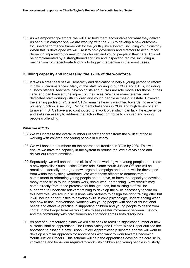105.As we empower governors, we will also hold them accountable for what they deliver. As set out in chapter one we are working with the YJB to develop a new outcomefocussed performance framework for the youth justice system, including youth custody. When this is developed we will use it to hold governors and directors to account for delivering improved outcomes for the children and young people in their care. This will be complemented by a strengthened scrutiny and inspection regime, including a mechanism for inspectorate findings to trigger intervention in the worst cases.

#### **Building capacity and increasing the skills of the workforce**

106.It takes a great deal of skill, sensitivity and dedication to help a young person to reform in difficult circumstances. Many of the staff working in our YOIs and STCs, including custody officers, teachers, psychologists and nurses are role models for those in their care, and can have a huge impact on their lives. We have many talented and dedicated staff working with children and young people across our estate. However, the staffing profile of YOIs and STCs remains heavily weighted towards those whose primary function is security. Recruitment challenges in YOIs and high levels of staff turnover in STCs have also contributed to a workforce which can lack the experience and skills necessary to address the factors that contribute to children and young people's offending

- 107.We will increase the overall numbers of staff and transform the skillset of those working with children and young people in custody.
- 108.We will boost the numbers on the operational frontline in YOIs by 20%. This will ensure we have the capacity in the system to reduce the levels of violence and deliver our reform ambition.
- 109.Separately, we will enhance the skills of those working with young people and create a new specialist Youth Justice Officer role. Some Youth Justice Officers will be recruited externally through a new targeted campaign and others will be developed from within the existing workforce. We want these officers to demonstrate a commitment to reforming young people and to have, or have the capacity to develop, many of the skills found in youth work, social work or teaching. New recruits may come directly from these professional backgrounds, but existing staff will be supported to undertake relevant training to develop the skills necessary to take on this new role. We are in discussions with partners to design the right training offer but it will include opportunities to develop skills in child psychology, understanding when and how to use interventions, working with young people with special educational needs and effective practice in supporting children and young people to desist from crime. In the longer term we would like to see greater movement between custody and the community with practitioners able to work across both disciplines.
- 110.As part of our resourcing plans we will also seek to recruit a significant number of new custodial staff as apprentices. The Prison Safety and Reform White Paper outlined the approach to piloting a new Prison Officer Apprenticeship scheme and we will work to develop a similar approach for apprentices who want to work towards becoming Youth Justice Officers. This scheme will help the apprentices develop the core skills, knowledge and behaviour required to work with children and young people in custody.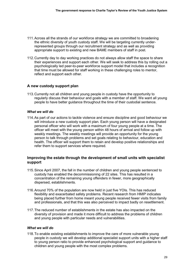- 111.Across all the strands of our workforce strategy we are committed to broadening the ethnic diversity of youth custody staff. We will be targeting currently underrepresented groups through our recruitment strategy and as well as providing appropriate support to existing and new BAME members of staff in post.
- 112.Currently day to day working practices do not always allow staff the space to share their experiences and support each other. We will seek to address this by rolling out a psychologically led peer-to-peer workforce support model that includes a recognition that time must be allowed for staff working in these challenging roles to mentor, reflect and support each other.

#### **A new custody support plan**

113.Currently not all children and young people in custody have the opportunity to regularly discuss their behaviour and goals with a member of staff. We want all young people to have better guidance throughout the time of their custodial sentence.

#### *What we will do*

114.As part of our actions to tackle violence and ensure discipline and good behaviour we will introduce a new custody support plan. Each young person will have a designated personal officer who will work with a maximum of four young people at a time. The officer will meet with the young person within 48 hours of arrival and follow up with weekly meetings. The weekly meetings will provide an opportunity for the young person to talk through problems and set goals relating to behaviour, education and health. The officer will support them to retain and develop positive relationships and refer them to support services where required.

#### **Improving the estate through the development of small units with specialist support**

- 115.Since April 2007, the fall in the number of children and young people sentenced to custody has enabled the decommissioning of 22 sites. This has resulted in a concentration of the remaining young offenders in fewer, more geographically dispersed, establishments.
- 116.Around 70% of the population are now held in just five YOIs. This has reduced flexibility and exacerbated safety problems. Recent research from HMIP indicates being placed further from home meant young people received fewer visits from family and professionals, and that this was also perceived to impact badly on resettlement.
- 117.The reduced number of establishments in the estate has also impacted on the diversity of provision and made it more difficult to address the problems of children and young people with particular needs and vulnerabilities.

#### *What we will do*

118.To enable existing establishments to improve the care of more vulnerable young people in custody we will develop additional specialist support units with a higher staff to young person ratio to provide enhanced psychological support and guidance to children and young people with the most complex problems.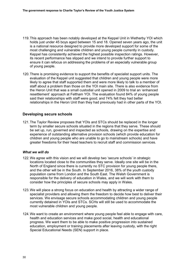- 119.This approach has been notably developed at the Keppel Unit in Wetherby YOI which holds just under 45 boys aged between 15 and 18. Opened seven years ago, the unit is a national resource designed to provide more developed support for some of the most challenging and vulnerable children and young people currently in custody. Keppel has consistently achieved the highest possible inspection ratings. However, its recent performance has slipped and we intend to provide further support to ensure it can refocus on addressing the problems of an especially vulnerable group of young people.
- 120.There is promising evidence to support the benefits of specialist support units. The evaluation of the Keppel unit suggested that children and young people were more likely to agree that staff supported them and were more likely to talk to a member of staff about a problem than those on the YOI main site. There is also evidence from the Heron Unit that was a small custodial unit opened in 2009 to trial an 'enhanced resettlement' approach at Feltham YOI. The evaluation found 84% of young people said their relationships with staff were good; and 74% felt they had better relationships in the Heron Unit than they had previously had in other parts of the YOI.

#### **Developing secure schools**

121.The Taylor Review proposes that YOIs and STCs should be replaced in the longer term by smaller secure schools situated in the regions that they serve. These should be set up, run, governed and inspected as schools, drawing on the expertise and experience of outstanding alternative provision schools (which provide education for children and young people who are unable to go to mainstream schools) and have greater freedoms for their head teachers to recruit staff and commission services.

- 122.We agree with this vision and we will develop two 'secure schools' in strategic locations located close to the communities they serve. Ideally one site will be in the North of England since there is currently no STC provision for young people there, and the other will be in the South. In September 2016, 38% of the youth custody population came from London and the South East. The Welsh Government is responsible for the delivery of education in Wales, and we will work with them to consider how the principles of secure schools may apply in Wales.
- 123.We will place a strong focus on education and health by attracting a wider range of specialist providers and allowing them the freedom to decide how best to deliver their services. We envisage secure schools accommodating children and young people currently detained in YOIs and STCs. SCHs will still be used to accommodate the most vulnerable children and young people.
- 124.We want to create an environment where young people feel able to engage with care, health and education services and make good social, health and educational progress. We want them to be able to make positive progression into sustained education, employment or training placements after leaving custody, with the right Special Educational Needs (SEN) support in place.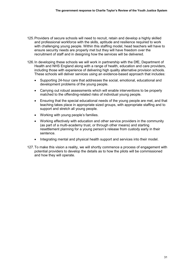- 125.Providers of secure schools will need to recruit, retain and develop a highly skilled and professional workforce with the skills, aptitude and resilience required to work with challenging young people. Within this staffing model, head teachers will have to ensure security needs are properly met but they will have freedom over the recruitment of staff and in designing how the services will be delivered.
- 126.In developing these schools we will work in partnership with the DfE, Department of Health and NHS England along with a range of health, education and care providers, including those with experience of delivering high quality alternative provision schools. These schools will deliver services using an evidence-based approach that includes:
	- Supporting 24-hour care that addresses the social, emotional, educational and development problems of the young people.
	- Carrying out robust assessments which will enable interventions to be properly matched to the offending-related risks of individual young people.
	- Ensuring that the special educational needs of the young people are met, and that teaching takes place in appropriate sized groups, with appropriate staffing and to support and stretch all young people.
	- Working with young people's families.
	- Working effectively with education and other service providers in the community (as part of a multi-academy trust, or through other means) and starting resettlement planning for a young person's release from custody early in their sentence.
	- Integrating mental and physical health support and services into their model.
- 127.To make this vision a reality, we will shortly commence a process of engagement with potential providers to develop the details as to how the pilots will be commissioned and how they will operate.